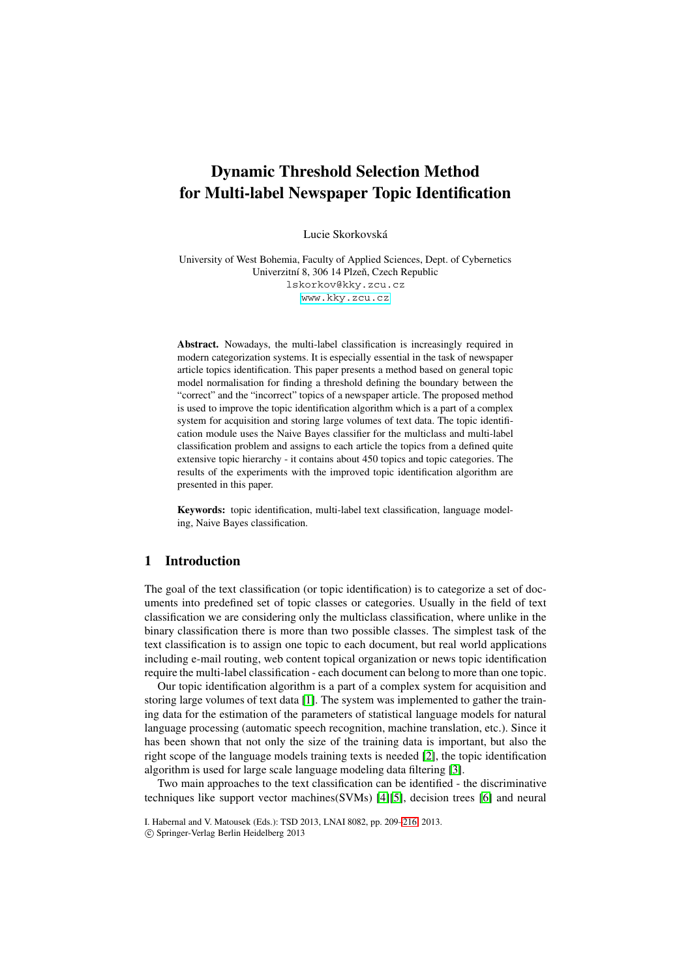# **Dynamic Threshold Selection Method for Multi-label Newspaper Topic Identification**

Lucie Skorkovská

University of West Bohemia, Faculty of Applied Sciences, Dept. of Cybernetics Univerzitní 8, 306 14 Plzeň, Czech Republic lskorkov@kky.zcu.cz <www.kky.zcu.cz>

**Abstract.** Nowadays, the multi-label classification is increasingly required in modern categorization systems. It is especially essential in the task of newspaper article topics identification. This paper presents a method based on general topic model normalisation for finding a threshold defining the boundary between the "correct" and the "incorrect" topics of a newspaper article. The proposed method is used to improve the topic identification algorithm which is a part of a complex system for acquisition and storing large volumes of text data. The topic identification module uses the Naive Bayes classifier for the multiclass and multi-label classification problem and assigns to each article the topics from a defined quite extensive topic hierarchy - it contains about 450 topics and topic categories. The results of the experiments with the improved topic identification algorithm are presented in this paper.

**Keywords:** topic identification, multi-label text classification, language modeling, Naive Bayes classification.

# **1 Introduction**

The goal of the text classification (or topic identification) is to categorize a set of documents into predefined set of topic classes or categories. Usually in the field of text classification we are considering only the multiclass classification, where unlike in the binary classification there is more than two possible classes. The simplest task of the text classification is to assign one topic to each document, but real world applications including e-mail routing, web content topical organization or news topic identification require the multi-label classification - each document can belong to more than one topic.

Our topic identification algorithm is a part of a complex system for acquisition and storing large volumes of text data [\[1\]](#page-6-0). The system was implemented to gather the training data for the estimation of the parameters of statistical language models for natural language processing (automatic speech recognition, machine translation, etc.). Since it has been shown that not only the size of the training data is important, but also the right scope of the language models training texts is needed [\[2\]](#page-6-1), the topic identification algorithm is used for large scale language modeling data filtering [\[3\]](#page-6-2).

Two main approaches to the text classification can be identified - the discriminative techniques like support vector machines(SVMs) [\[4\]](#page-7-0)[\[5\]](#page-7-1), decision trees [\[6\]](#page-7-2) and neural

I. Habernal and V. Matousek (Eds.): TSD 2013, LNAI 8082, pp. 209[–216,](#page-6-3) 2013.

<sup>-</sup>c Springer-Verlag Berlin Heidelberg 2013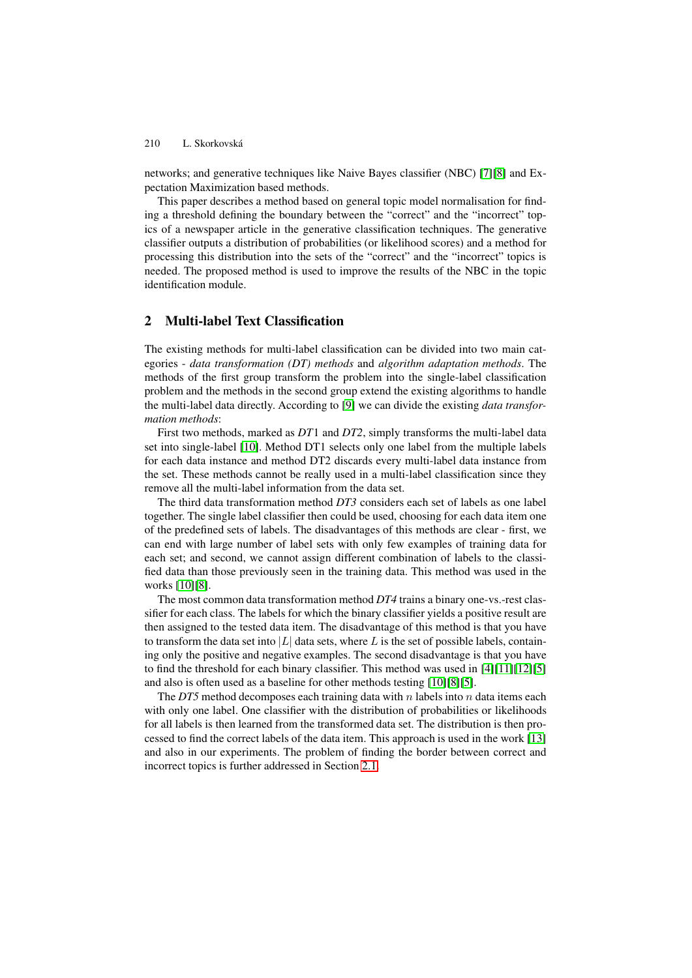networks; and generative techniques like Naive Bayes classifier (NBC) [\[7\]](#page-7-3)[\[8\]](#page-7-4) and Expectation Maximization based methods.

This paper describes a method based on general topic model normalisation for finding a threshold defining the boundary between the "correct" and the "incorrect" topics of a newspaper article in the generative classification techniques. The generative classifier outputs a distribution of probabilities (or likelihood scores) and a method for processing this distribution into the sets of the "correct" and the "incorrect" topics is needed. The proposed method is used to improve the results of the NBC in the topic identification module.

# **2 Multi-label Text Classification**

The existing methods for multi-label classification can be divided into two main categories - *data transformation (DT) methods* and *algorithm adaptation methods*. The methods of the first group transform the problem into the single-label classification problem and the methods in the second group extend the existing algorithms to handle the multi-label data directly. According to [\[9\]](#page-7-5) we can divide the existing *data transformation methods*:

First two methods, marked as *DT*1 and *DT2*, simply transforms the multi-label data set into single-label [\[10\]](#page-7-6). Method DT1 selects only one label from the multiple labels for each data instance and method DT2 discards every multi-label data instance from the set. These methods cannot be really used in a multi-label classification since they remove all the multi-label information from the data set.

The third data transformation method *DT3* considers each set of labels as one label together. The single label classifier then could be used, choosing for each data item one of the predefined sets of labels. The disadvantages of this methods are clear - first, we can end with large number of label sets with only few examples of training data for each set; and second, we cannot assign different combination of labels to the classified data than those previously seen in the training data. This method was used in the works [\[10\]](#page-7-6)[\[8\]](#page-7-4).

The most common data transformation method *DT4* trains a binary one-vs.-rest classifier for each class. The labels for which the binary classifier yields a positive result are then assigned to the tested data item. The disadvantage of this method is that you have to transform the data set into  $|L|$  data sets, where L is the set of possible labels, containing only the positive and negative examples. The second disadvantage is that you have to find the threshold for each binary classifier. This method was used in [\[4\]](#page-7-0)[\[11\]](#page-7-7)[\[12\]](#page-7-8)[\[5\]](#page-7-1) and also is often used as a baseline for other methods testing [\[10\]](#page-7-6)[\[8\]](#page-7-4)[\[5\]](#page-7-1).

The *DT5* method decomposes each training data with *n* labels into *n* data items each with only one label. One classifier with the distribution of probabilities or likelihoods for all labels is then learned from the transformed data set. The distribution is then processed to find the correct labels of the data item. This approach is used in the work [\[13\]](#page-7-9) and also in our experiments. The problem of finding the border between correct and incorrect topics is further addressed in Section [2.1.](#page-2-0)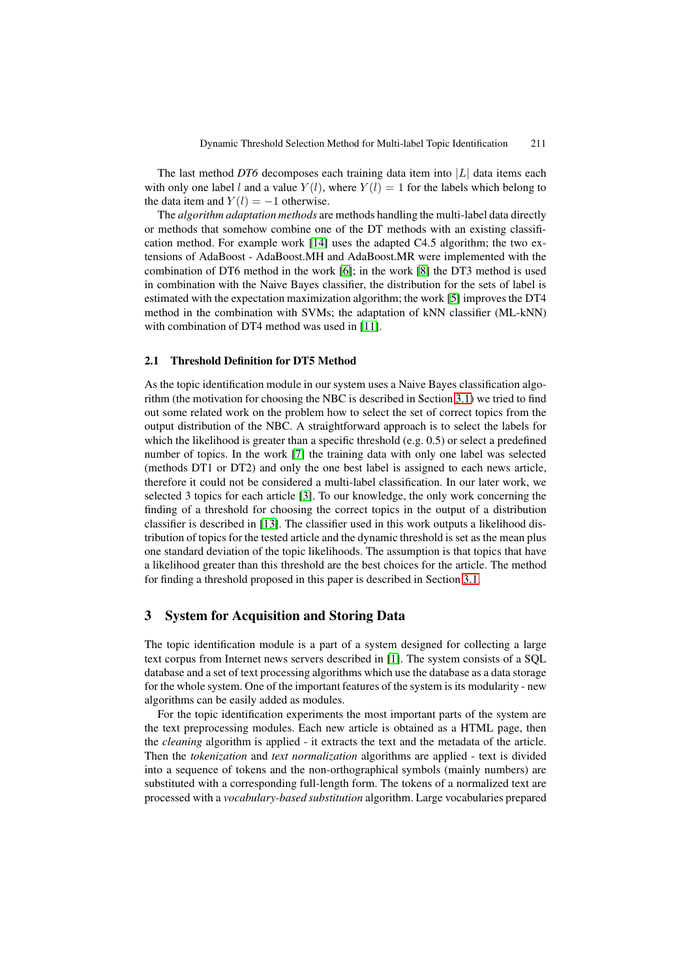The last method *DT6* decomposes each training data item into |*L*| data items each with only one label *l* and a value  $Y(l)$ , where  $Y(l) = 1$  for the labels which belong to the data item and  $Y(l) = -1$  otherwise.

The *algorithm adaptation methods* are methods handling the multi-label data directly or methods that somehow combine one of the DT methods with an existing classification method. For example work [\[14\]](#page-7-10) uses the adapted C4.5 algorithm; the two extensions of AdaBoost - AdaBoost.MH and AdaBoost.MR were implemented with the combination of DT6 method in the work [\[6\]](#page-7-2); in the work [\[8\]](#page-7-4) the DT3 method is used in combination with the Naive Bayes classifier, the distribution for the sets of label is estimated with the expectation maximization algorithm; the work [\[5\]](#page-7-1) improves the DT4 method in the combination with SVMs; the adaptation of kNN classifier (ML-kNN) with combination of DT4 method was used in [\[11\]](#page-7-7).

## <span id="page-2-0"></span>**2.1 Threshold Definition for DT5 Method**

As the topic identification module in our system uses a Naive Bayes classification algorithm (the motivation for choosing the NBC is described in Section [3.1\)](#page-3-0) we tried to find out some related work on the problem how to select the set of correct topics from the output distribution of the NBC. A straightforward approach is to select the labels for which the likelihood is greater than a specific threshold (e.g. 0.5) or select a predefined number of topics. In the work [\[7\]](#page-7-3) the training data with only one label was selected (methods DT1 or DT2) and only the one best label is assigned to each news article, therefore it could not be considered a multi-label classification. In our later work, we selected 3 topics for each article [\[3\]](#page-6-2). To our knowledge, the only work concerning the finding of a threshold for choosing the correct topics in the output of a distribution classifier is described in [\[13\]](#page-7-9). The classifier used in this work outputs a likelihood distribution of topics for the tested article and the dynamic threshold is set as the mean plus one standard deviation of the topic likelihoods. The assumption is that topics that have a likelihood greater than this threshold are the best choices for the article. The method for finding a threshold proposed in this paper is described in Section [3.1.](#page-3-0)

# **3 System for Acquisition and Storing Data**

The topic identification module is a part of a system designed for collecting a large text corpus from Internet news servers described in [\[1\]](#page-6-0). The system consists of a SQL database and a set of text processing algorithms which use the database as a data storage for the whole system. One of the important features of the system is its modularity - new algorithms can be easily added as modules.

For the topic identification experiments the most important parts of the system are the text preprocessing modules. Each new article is obtained as a HTML page, then the *cleaning* algorithm is applied - it extracts the text and the metadata of the article. Then the *tokenization* and *text normalization* algorithms are applied - text is divided into a sequence of tokens and the non-orthographical symbols (mainly numbers) are substituted with a corresponding full-length form. The tokens of a normalized text are processed with a *vocabulary-based substitution* algorithm. Large vocabularies prepared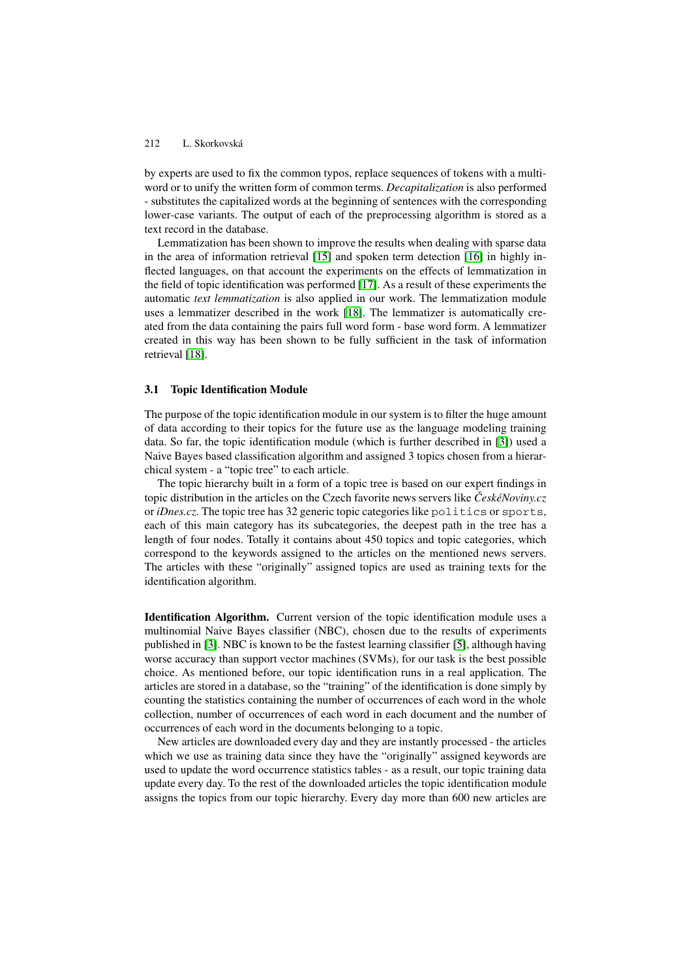by experts are used to fix the common typos, replace sequences of tokens with a multiword or to unify the written form of common terms. *Decapitalization* is also performed - substitutes the capitalized words at the beginning of sentences with the corresponding lower-case variants. The output of each of the preprocessing algorithm is stored as a text record in the database.

Lemmatization has been shown to improve the results when dealing with sparse data in the area of information retrieval [\[15\]](#page-7-11) and spoken term detection [\[16\]](#page-7-12) in highly inflected languages, on that account the experiments on the effects of lemmatization in the field of topic identification was performed [\[17\]](#page-7-13). As a result of these experiments the automatic *text lemmatization* is also applied in our work. The lemmatization module uses a lemmatizer described in the work [\[18\]](#page-7-14). The lemmatizer is automatically created from the data containing the pairs full word form - base word form. A lemmatizer created in this way has been shown to be fully sufficient in the task of information retrieval [\[18\]](#page-7-14).

## <span id="page-3-0"></span>**3.1 Topic Identification Module**

The purpose of the topic identification module in our system is to filter the huge amount of data according to their topics for the future use as the language modeling training data. So far, the topic identification module (which is further described in [\[3\]](#page-6-2)) used a Naive Bayes based classification algorithm and assigned 3 topics chosen from a hierarchical system - a "topic tree" to each article.

The topic hierarchy built in a form of a topic tree is based on our expert findings in topic distribution in the articles on the Czech favorite news servers like *Ceské Noviny.cz* or *iDnes.cz*. The topic tree has 32 generic topic categories like politics or sports, each of this main category has its subcategories, the deepest path in the tree has a length of four nodes. Totally it contains about 450 topics and topic categories, which correspond to the keywords assigned to the articles on the mentioned news servers. The articles with these "originally" assigned topics are used as training texts for the identification algorithm.

**Identification Algorithm.** Current version of the topic identification module uses a multinomial Naive Bayes classifier (NBC), chosen due to the results of experiments published in [\[3\]](#page-6-2). NBC is known to be the fastest learning classifier [\[5\]](#page-7-1), although having worse accuracy than support vector machines (SVMs), for our task is the best possible choice. As mentioned before, our topic identification runs in a real application. The articles are stored in a database, so the "training" of the identification is done simply by counting the statistics containing the number of occurrences of each word in the whole collection, number of occurrences of each word in each document and the number of occurrences of each word in the documents belonging to a topic.

New articles are downloaded every day and they are instantly processed - the articles which we use as training data since they have the "originally" assigned keywords are used to update the word occurrence statistics tables - as a result, our topic training data update every day. To the rest of the downloaded articles the topic identification module assigns the topics from our topic hierarchy. Every day more than 600 new articles are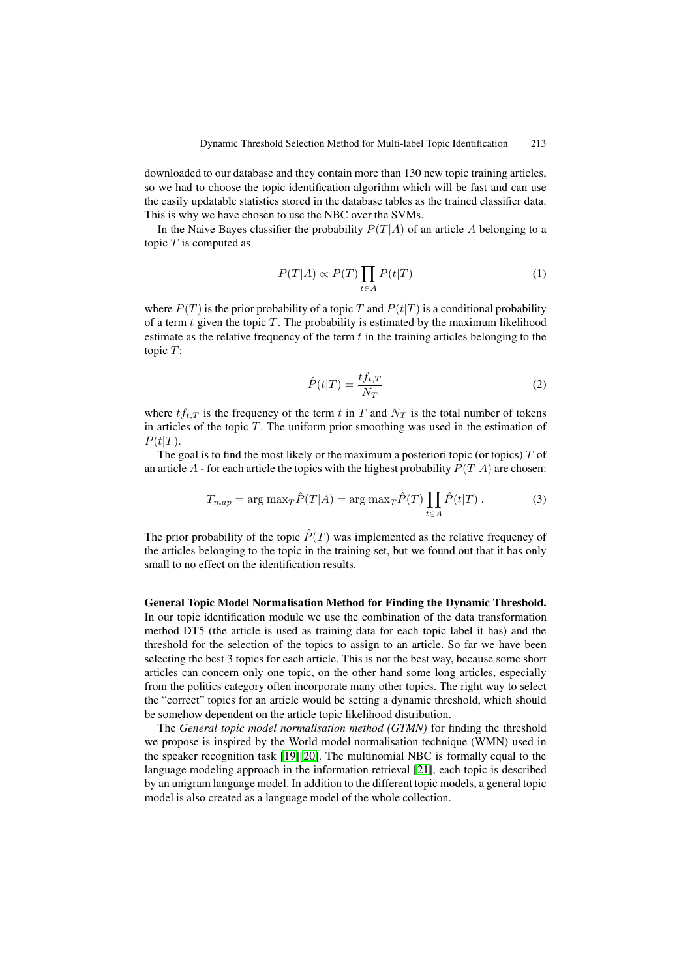downloaded to our database and they contain more than 130 new topic training articles, so we had to choose the topic identification algorithm which will be fast and can use the easily updatable statistics stored in the database tables as the trained classifier data. This is why we have chosen to use the NBC over the SVMs.

In the Naive Bayes classifier the probability  $P(T|A)$  of an article A belonging to a topic *T* is computed as

$$
P(T|A) \propto P(T) \prod_{t \in A} P(t|T) \tag{1}
$$

where  $P(T)$  is the prior probability of a topic *T* and  $P(t|T)$  is a conditional probability of a term  $t$  given the topic  $T$ . The probability is estimated by the maximum likelihood estimate as the relative frequency of the term *t* in the training articles belonging to the topic *T* :

$$
\hat{P}(t|T) = \frac{t f_{t,T}}{N_T} \tag{2}
$$

where  $tf_{t,T}$  is the frequency of the term *t* in *T* and  $N_T$  is the total number of tokens in articles of the topic *T* . The uniform prior smoothing was used in the estimation of  $P(t|T)$ .

The goal is to find the most likely or the maximum a posteriori topic (or topics) *T* of an article *A* - for each article the topics with the highest probability  $P(T|A)$  are chosen:

$$
T_{map} = \arg \max_{T} \hat{P}(T|A) = \arg \max_{T} \hat{P}(T) \prod_{t \in A} \hat{P}(t|T).
$$
 (3)

The prior probability of the topic  $\hat{P}(T)$  was implemented as the relative frequency of the articles belonging to the topic in the training set, but we found out that it has only small to no effect on the identification results.

**General Topic Model Normalisation Method for Finding the Dynamic Threshold.** In our topic identification module we use the combination of the data transformation method DT5 (the article is used as training data for each topic label it has) and the threshold for the selection of the topics to assign to an article. So far we have been selecting the best 3 topics for each article. This is not the best way, because some short articles can concern only one topic, on the other hand some long articles, especially from the politics category often incorporate many other topics. The right way to select the "correct" topics for an article would be setting a dynamic threshold, which should be somehow dependent on the article topic likelihood distribution.

The *General topic model normalisation method (GTMN)* for finding the threshold we propose is inspired by the World model normalisation technique (WMN) used in the speaker recognition task [\[19\]](#page-7-15)[\[20\]](#page-7-16). The multinomial NBC is formally equal to the language modeling approach in the information retrieval [\[21\]](#page-7-17), each topic is described by an unigram language model. In addition to the different topic models, a general topic model is also created as a language model of the whole collection.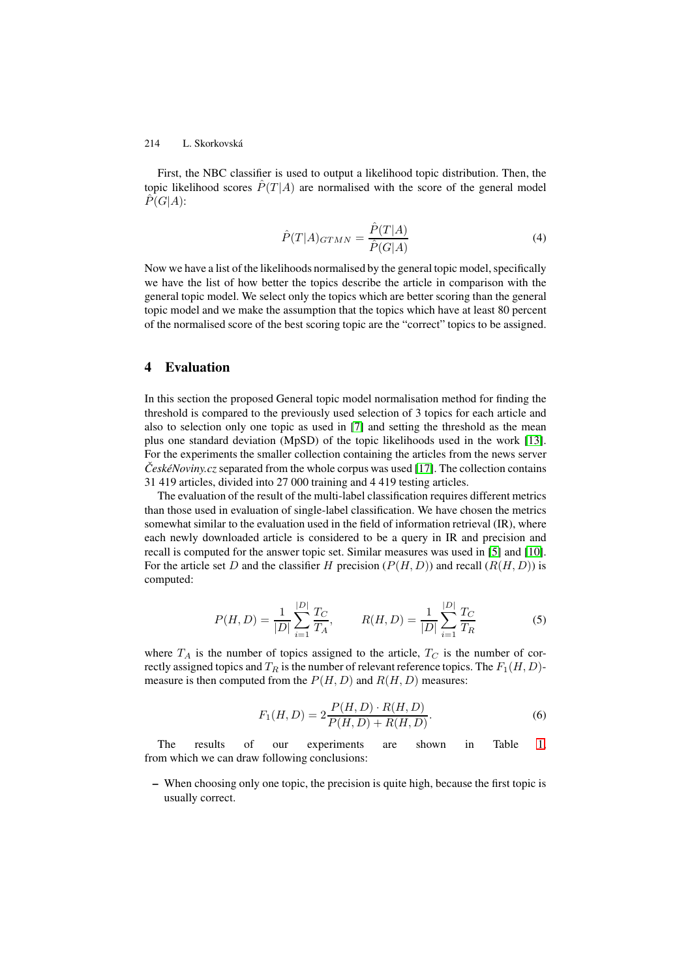First, the NBC classifier is used to output a likelihood topic distribution. Then, the topic likelihood scores  $\hat{P}(T|A)$  are normalised with the score of the general model  $\hat{P}(G|A)$ :

$$
\hat{P}(T|A)_{GTMN} = \frac{\hat{P}(T|A)}{\hat{P}(G|A)}\tag{4}
$$

Now we have a list of the likelihoods normalised by the general topic model, specifically we have the list of how better the topics describe the article in comparison with the general topic model. We select only the topics which are better scoring than the general topic model and we make the assumption that the topics which have at least 80 percent of the normalised score of the best scoring topic are the "correct" topics to be assigned.

## **4 Evaluation**

In this section the proposed General topic model normalisation method for finding the threshold is compared to the previously used selection of 3 topics for each article and also to selection only one topic as used in [\[7\]](#page-7-3) and setting the threshold as the mean plus one standard deviation (MpSD) of the topic likelihoods used in the work [\[13\]](#page-7-9). For the experiments the smaller collection containing the articles from the news server  $\hat{C}$ *esk* $\hat{\epsilon}$ *Noviny.cz* separated from the whole corpus was used [\[17\]](#page-7-13). The collection contains 31 419 articles, divided into 27 000 training and 4 419 testing articles.

The evaluation of the result of the multi-label classification requires different metrics than those used in evaluation of single-label classification. We have chosen the metrics somewhat similar to the evaluation used in the field of information retrieval (IR), where each newly downloaded article is considered to be a query in IR and precision and recall is computed for the answer topic set. Similar measures was used in [\[5\]](#page-7-1) and [\[10\]](#page-7-6). For the article set *D* and the classifier *H* precision  $(P(H, D))$  and recall  $(R(H, D))$  is computed:

$$
P(H, D) = \frac{1}{|D|} \sum_{i=1}^{|D|} \frac{T_C}{T_A}, \qquad R(H, D) = \frac{1}{|D|} \sum_{i=1}^{|D|} \frac{T_C}{T_R}
$$
(5)

where  $T_A$  is the number of topics assigned to the article,  $T_C$  is the number of correctly assigned topics and  $T_R$  is the number of relevant reference topics. The  $F_1(H, D)$ measure is then computed from the  $P(H, D)$  and  $R(H, D)$  measures:

$$
F_1(H, D) = 2 \frac{P(H, D) \cdot R(H, D)}{P(H, D) + R(H, D)}.
$$
\n(6)

The results of our experiments are shown in Table [1,](#page-6-4) from which we can draw following conclusions:

**–** When choosing only one topic, the precision is quite high, because the first topic is usually correct.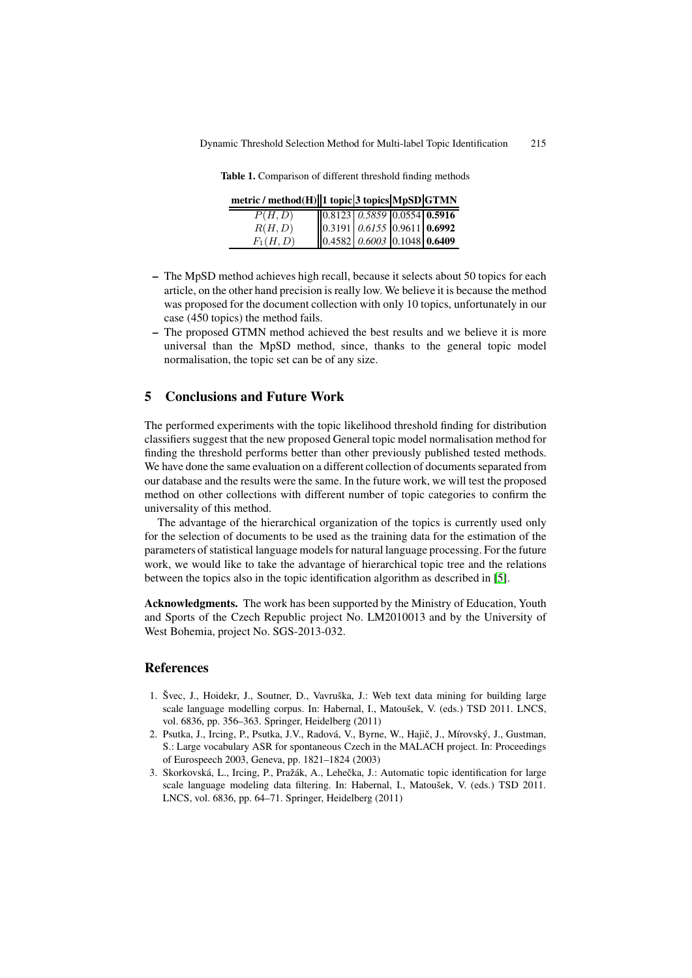**Table 1.** Comparison of different threshold finding methods

<span id="page-6-4"></span>

| metric / method(H)  1 topic 3 topics MpSD GTMN |                                                                                                                                                                                                     |  |
|------------------------------------------------|-----------------------------------------------------------------------------------------------------------------------------------------------------------------------------------------------------|--|
| P(H,D)                                         |                                                                                                                                                                                                     |  |
| R(H,D)                                         |                                                                                                                                                                                                     |  |
| $F_1(H,D)$                                     | $\begin{array}{ l l l } \hline 0.8123 & 0.5859 & 0.0554 & \textbf{0.5916} \\ \hline 0.3191 & 0.6155 & 0.9611 & \textbf{0.6992} \\ 0.4582 & 0.6003 & 0.1048 & \textbf{0.6409} \\ \hline \end{array}$ |  |

- **–** The MpSD method achieves high recall, because it selects about 50 topics for each article, on the other hand precision is really low. We believe it is because the method was proposed for the document collection with only 10 topics, unfortunately in our case (450 topics) the method fails.
- **–** The proposed GTMN method achieved the best results and we believe it is more universal than the MpSD method, since, thanks to the general topic model normalisation, the topic set can be of any size.

## **5 Conclusions and Future Work**

The performed experiments with the topic likelihood threshold finding for distribution classifiers suggest that the new proposed General topic model normalisation method for finding the threshold performs better than other previously published tested methods. We have done the same evaluation on a different collection of documents separated from our database and the results were the same. In the future work, we will test the proposed method on other collections with different number of topic categories to confirm the universality of this method.

The advantage of the hierarchical organization of the topics is currently used only for the selection of documents to be used as the training data for the estimation of the parameters of statistical language models for natural language processing. For the future work, we would like to take the advantage of hierarchical topic tree and the relations between the topics also in the topic identification algorithm as described in [\[5\]](#page-7-1).

**Acknowledgments.** The work has been supported by the Ministry of Education, Youth and Sports of the Czech Republic project No. LM2010013 and by the University of West Bohemia, project No. SGS-2013-032.

## <span id="page-6-3"></span>**References**

- <span id="page-6-0"></span>1. Švec, J., Hoidekr, J., Soutner, D., Vavruška, J.: Web text data mining for building large scale language modelling corpus. In: Habernal, I., Matoušek, V. (eds.) TSD 2011. LNCS, vol. 6836, pp. 356–363. Springer, Heidelberg (2011)
- <span id="page-6-1"></span>2. Psutka, J., Ircing, P., Psutka, J.V., Radová, V., Byrne, W., Hajič, J., Mírovský, J., Gustman, S.: Large vocabulary ASR for spontaneous Czech in the MALACH project. In: Proceedings of Eurospeech 2003, Geneva, pp. 1821–1824 (2003)
- <span id="page-6-2"></span>3. Skorkovská, L., Ircing, P., Pražák, A., Lehečka, J.: Automatic topic identification for large scale language modeling data filtering. In: Habernal, I., Matoušek, V. (eds.) TSD 2011. LNCS, vol. 6836, pp. 64–71. Springer, Heidelberg (2011)